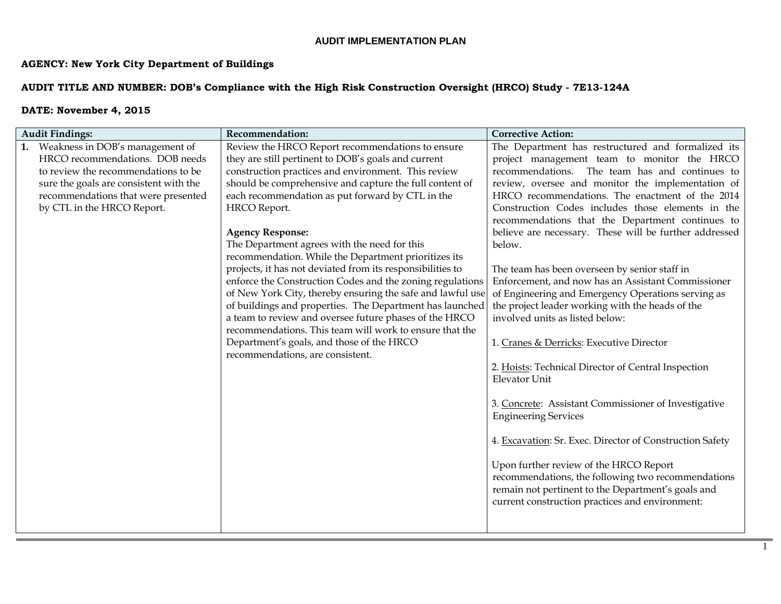# **AGENCY: New York City Department of Buildings**

## **AUDIT TITLE AND NUMBER: DOB's Compliance with the High Risk Construction Oversight (HRCO) Study - 7E13-124A**

| <b>Audit Findings:</b>                                                                                                                                                                                                      | Recommendation:                                                                                                                                                                                                                                                                                                                                                                                                                                                                                                                                                                                                                                                                                                                                                                                                                                                                             | <b>Corrective Action:</b>                                                                                                                                                                                                                                                                                                                                                                                                                                                                                                                                                                                                                                                                                                                                                                                                                                                                                                                                                                                                                                                                                                                                                           |
|-----------------------------------------------------------------------------------------------------------------------------------------------------------------------------------------------------------------------------|---------------------------------------------------------------------------------------------------------------------------------------------------------------------------------------------------------------------------------------------------------------------------------------------------------------------------------------------------------------------------------------------------------------------------------------------------------------------------------------------------------------------------------------------------------------------------------------------------------------------------------------------------------------------------------------------------------------------------------------------------------------------------------------------------------------------------------------------------------------------------------------------|-------------------------------------------------------------------------------------------------------------------------------------------------------------------------------------------------------------------------------------------------------------------------------------------------------------------------------------------------------------------------------------------------------------------------------------------------------------------------------------------------------------------------------------------------------------------------------------------------------------------------------------------------------------------------------------------------------------------------------------------------------------------------------------------------------------------------------------------------------------------------------------------------------------------------------------------------------------------------------------------------------------------------------------------------------------------------------------------------------------------------------------------------------------------------------------|
| 1. Weakness in DOB's management of<br>HRCO recommendations. DOB needs<br>to review the recommendations to be<br>sure the goals are consistent with the<br>recommendations that were presented<br>by CTL in the HRCO Report. | Review the HRCO Report recommendations to ensure<br>they are still pertinent to DOB's goals and current<br>construction practices and environment. This review<br>should be comprehensive and capture the full content of<br>each recommendation as put forward by CTL in the<br>HRCO Report.<br><b>Agency Response:</b><br>The Department agrees with the need for this<br>recommendation. While the Department prioritizes its<br>projects, it has not deviated from its responsibilities to<br>enforce the Construction Codes and the zoning regulations<br>of New York City, thereby ensuring the safe and lawful use<br>of buildings and properties. The Department has launched<br>a team to review and oversee future phases of the HRCO<br>recommendations. This team will work to ensure that the<br>Department's goals, and those of the HRCO<br>recommendations, are consistent. | The Department has restructured and formalized its<br>project management team to monitor the HRCO<br>recommendations. The team has and continues to<br>review, oversee and monitor the implementation of<br>HRCO recommendations. The enactment of the 2014<br>Construction Codes includes those elements in the<br>recommendations that the Department continues to<br>believe are necessary. These will be further addressed<br>below.<br>The team has been overseen by senior staff in<br>Enforcement, and now has an Assistant Commissioner<br>of Engineering and Emergency Operations serving as<br>the project leader working with the heads of the<br>involved units as listed below:<br>1. Cranes & Derricks: Executive Director<br>2. Hoists: Technical Director of Central Inspection<br><b>Elevator Unit</b><br>3. Concrete: Assistant Commissioner of Investigative<br><b>Engineering Services</b><br>4. Excavation: Sr. Exec. Director of Construction Safety<br>Upon further review of the HRCO Report<br>recommendations, the following two recommendations<br>remain not pertinent to the Department's goals and<br>current construction practices and environment: |
|                                                                                                                                                                                                                             |                                                                                                                                                                                                                                                                                                                                                                                                                                                                                                                                                                                                                                                                                                                                                                                                                                                                                             |                                                                                                                                                                                                                                                                                                                                                                                                                                                                                                                                                                                                                                                                                                                                                                                                                                                                                                                                                                                                                                                                                                                                                                                     |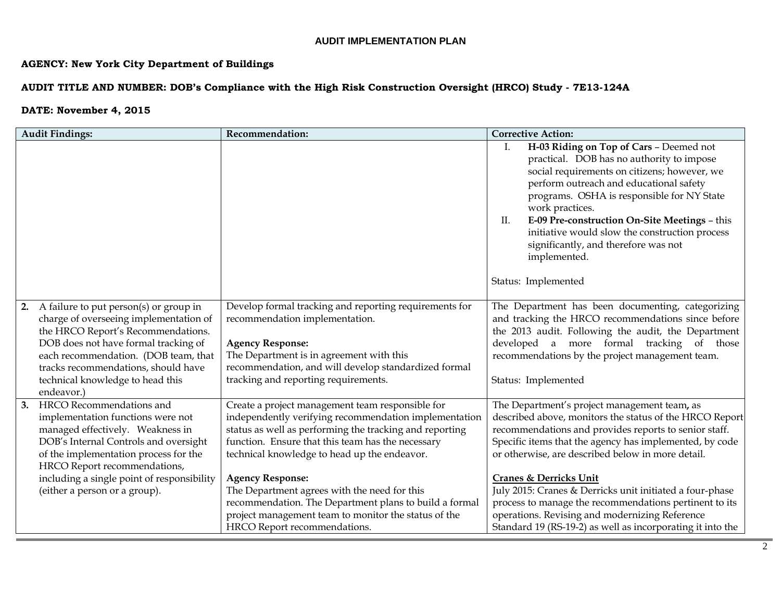# **AGENCY: New York City Department of Buildings**

## **AUDIT TITLE AND NUMBER: DOB's Compliance with the High Risk Construction Oversight (HRCO) Study - 7E13-124A**

|    | <b>Audit Findings:</b>                                                                                                                                                                                                                                                                             | Recommendation:                                                                                                                                                                                                                                                                                                                                      | <b>Corrective Action:</b>                                                                                                                                                                                                                                                                                                                                                                                                                      |
|----|----------------------------------------------------------------------------------------------------------------------------------------------------------------------------------------------------------------------------------------------------------------------------------------------------|------------------------------------------------------------------------------------------------------------------------------------------------------------------------------------------------------------------------------------------------------------------------------------------------------------------------------------------------------|------------------------------------------------------------------------------------------------------------------------------------------------------------------------------------------------------------------------------------------------------------------------------------------------------------------------------------------------------------------------------------------------------------------------------------------------|
|    |                                                                                                                                                                                                                                                                                                    |                                                                                                                                                                                                                                                                                                                                                      | H-03 Riding on Top of Cars - Deemed not<br>Ι.<br>practical. DOB has no authority to impose<br>social requirements on citizens; however, we<br>perform outreach and educational safety<br>programs. OSHA is responsible for NY State<br>work practices.<br>E-09 Pre-construction On-Site Meetings - this<br>П.<br>initiative would slow the construction process<br>significantly, and therefore was not<br>implemented.<br>Status: Implemented |
|    | 2. A failure to put person(s) or group in<br>charge of overseeing implementation of<br>the HRCO Report's Recommendations.<br>DOB does not have formal tracking of<br>each recommendation. (DOB team, that<br>tracks recommendations, should have<br>technical knowledge to head this<br>endeavor.) | Develop formal tracking and reporting requirements for<br>recommendation implementation.<br><b>Agency Response:</b><br>The Department is in agreement with this<br>recommendation, and will develop standardized formal<br>tracking and reporting requirements.                                                                                      | The Department has been documenting, categorizing<br>and tracking the HRCO recommendations since before<br>the 2013 audit. Following the audit, the Department<br>developed a more formal tracking of those<br>recommendations by the project management team.<br>Status: Implemented                                                                                                                                                          |
| 3. | HRCO Recommendations and<br>implementation functions were not<br>managed effectively. Weakness in<br>DOB's Internal Controls and oversight<br>of the implementation process for the<br>HRCO Report recommendations,<br>including a single point of responsibility<br>(either a person or a group). | Create a project management team responsible for<br>independently verifying recommendation implementation<br>status as well as performing the tracking and reporting<br>function. Ensure that this team has the necessary<br>technical knowledge to head up the endeavor.<br><b>Agency Response:</b><br>The Department agrees with the need for this | The Department's project management team, as<br>described above, monitors the status of the HRCO Report<br>recommendations and provides reports to senior staff.<br>Specific items that the agency has implemented, by code<br>or otherwise, are described below in more detail.<br><b>Cranes &amp; Derricks Unit</b><br>July 2015: Cranes & Derricks unit initiated a four-phase                                                              |
|    |                                                                                                                                                                                                                                                                                                    | recommendation. The Department plans to build a formal<br>project management team to monitor the status of the<br>HRCO Report recommendations.                                                                                                                                                                                                       | process to manage the recommendations pertinent to its<br>operations. Revising and modernizing Reference<br>Standard 19 (RS-19-2) as well as incorporating it into the                                                                                                                                                                                                                                                                         |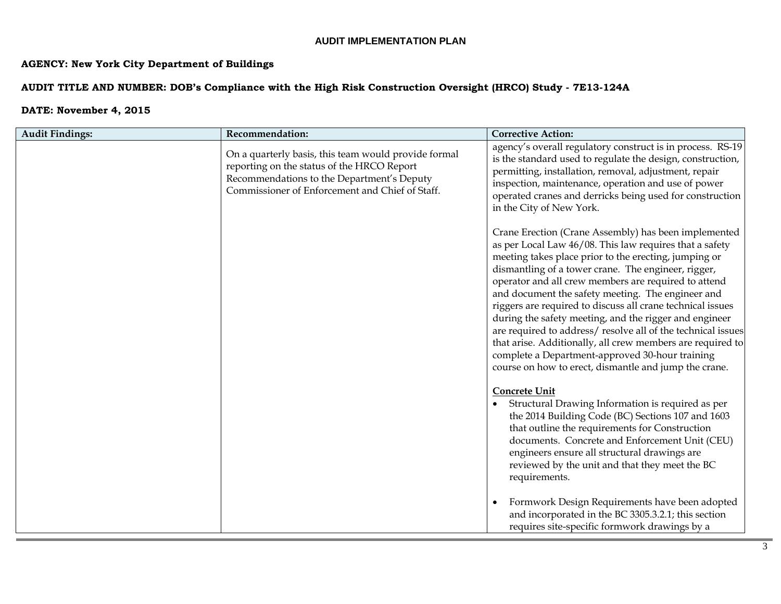# **AGENCY: New York City Department of Buildings**

## **AUDIT TITLE AND NUMBER: DOB's Compliance with the High Risk Construction Oversight (HRCO) Study - 7E13-124A**

| <b>Audit Findings:</b> | Recommendation:                                                                                                                                                                                     | <b>Corrective Action:</b>                                                                                                                                                                                                                                                                                                                                                                                                                                                                                                                                                                                                                                                                                     |
|------------------------|-----------------------------------------------------------------------------------------------------------------------------------------------------------------------------------------------------|---------------------------------------------------------------------------------------------------------------------------------------------------------------------------------------------------------------------------------------------------------------------------------------------------------------------------------------------------------------------------------------------------------------------------------------------------------------------------------------------------------------------------------------------------------------------------------------------------------------------------------------------------------------------------------------------------------------|
|                        | On a quarterly basis, this team would provide formal<br>reporting on the status of the HRCO Report<br>Recommendations to the Department's Deputy<br>Commissioner of Enforcement and Chief of Staff. | agency's overall regulatory construct is in process. RS-19<br>is the standard used to regulate the design, construction,<br>permitting, installation, removal, adjustment, repair<br>inspection, maintenance, operation and use of power<br>operated cranes and derricks being used for construction<br>in the City of New York.                                                                                                                                                                                                                                                                                                                                                                              |
|                        |                                                                                                                                                                                                     | Crane Erection (Crane Assembly) has been implemented<br>as per Local Law 46/08. This law requires that a safety<br>meeting takes place prior to the erecting, jumping or<br>dismantling of a tower crane. The engineer, rigger,<br>operator and all crew members are required to attend<br>and document the safety meeting. The engineer and<br>riggers are required to discuss all crane technical issues<br>during the safety meeting, and the rigger and engineer<br>are required to address/resolve all of the technical issues<br>that arise. Additionally, all crew members are required to<br>complete a Department-approved 30-hour training<br>course on how to erect, dismantle and jump the crane. |
|                        |                                                                                                                                                                                                     | <b>Concrete Unit</b><br>Structural Drawing Information is required as per<br>the 2014 Building Code (BC) Sections 107 and 1603<br>that outline the requirements for Construction<br>documents. Concrete and Enforcement Unit (CEU)<br>engineers ensure all structural drawings are<br>reviewed by the unit and that they meet the BC<br>requirements.                                                                                                                                                                                                                                                                                                                                                         |
|                        |                                                                                                                                                                                                     | Formwork Design Requirements have been adopted<br>and incorporated in the BC 3305.3.2.1; this section<br>requires site-specific formwork drawings by a                                                                                                                                                                                                                                                                                                                                                                                                                                                                                                                                                        |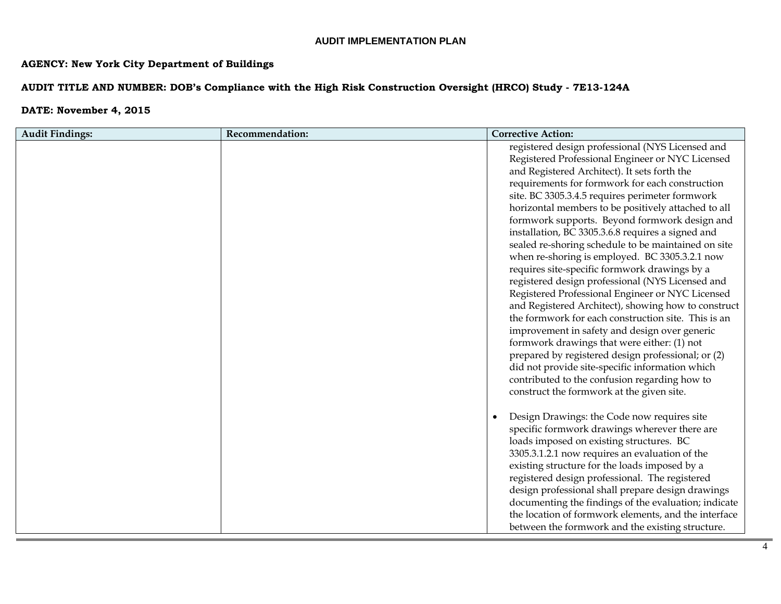## **AGENCY: New York City Department of Buildings**

## **AUDIT TITLE AND NUMBER: DOB's Compliance with the High Risk Construction Oversight (HRCO) Study - 7E13-124A**

| <b>Audit Findings:</b> | Recommendation: | <b>Corrective Action:</b>                                                                                                                                                                                                                                                                                                                                                                                                                                                                                                                                                                                                                                                                                                                                                                                                                                                                                                                                                                                                                                                                                      |
|------------------------|-----------------|----------------------------------------------------------------------------------------------------------------------------------------------------------------------------------------------------------------------------------------------------------------------------------------------------------------------------------------------------------------------------------------------------------------------------------------------------------------------------------------------------------------------------------------------------------------------------------------------------------------------------------------------------------------------------------------------------------------------------------------------------------------------------------------------------------------------------------------------------------------------------------------------------------------------------------------------------------------------------------------------------------------------------------------------------------------------------------------------------------------|
|                        |                 | registered design professional (NYS Licensed and<br>Registered Professional Engineer or NYC Licensed<br>and Registered Architect). It sets forth the<br>requirements for formwork for each construction<br>site. BC 3305.3.4.5 requires perimeter formwork<br>horizontal members to be positively attached to all<br>formwork supports. Beyond formwork design and<br>installation, BC 3305.3.6.8 requires a signed and<br>sealed re-shoring schedule to be maintained on site<br>when re-shoring is employed. BC 3305.3.2.1 now<br>requires site-specific formwork drawings by a<br>registered design professional (NYS Licensed and<br>Registered Professional Engineer or NYC Licensed<br>and Registered Architect), showing how to construct<br>the formwork for each construction site. This is an<br>improvement in safety and design over generic<br>formwork drawings that were either: (1) not<br>prepared by registered design professional; or (2)<br>did not provide site-specific information which<br>contributed to the confusion regarding how to<br>construct the formwork at the given site. |
|                        |                 | Design Drawings: the Code now requires site<br>specific formwork drawings wherever there are<br>loads imposed on existing structures. BC<br>3305.3.1.2.1 now requires an evaluation of the<br>existing structure for the loads imposed by a<br>registered design professional. The registered<br>design professional shall prepare design drawings<br>documenting the findings of the evaluation; indicate<br>the location of formwork elements, and the interface<br>between the formwork and the existing structure.                                                                                                                                                                                                                                                                                                                                                                                                                                                                                                                                                                                         |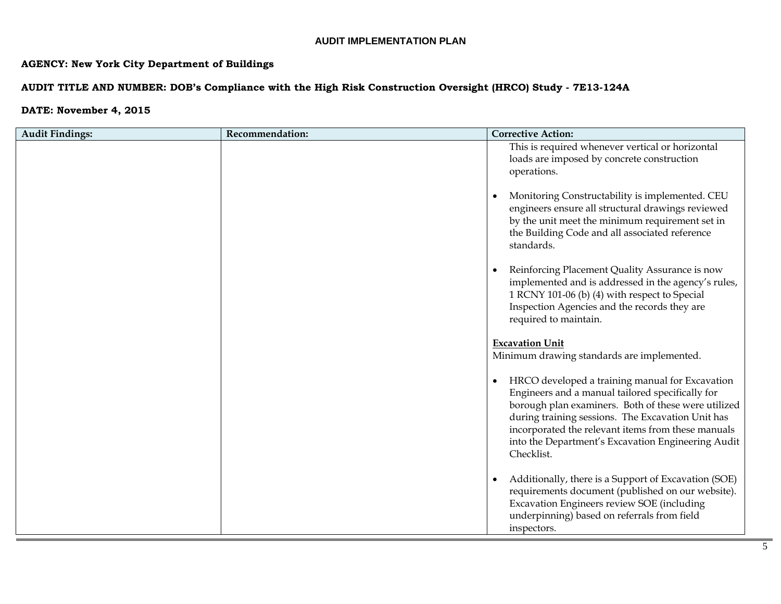## **AGENCY: New York City Department of Buildings**

## **AUDIT TITLE AND NUMBER: DOB's Compliance with the High Risk Construction Oversight (HRCO) Study - 7E13-124A**

| <b>Audit Findings:</b> | Recommendation: | <b>Corrective Action:</b>                                                                                                                                                                                                                                                                                                                              |
|------------------------|-----------------|--------------------------------------------------------------------------------------------------------------------------------------------------------------------------------------------------------------------------------------------------------------------------------------------------------------------------------------------------------|
|                        |                 | This is required whenever vertical or horizontal<br>loads are imposed by concrete construction<br>operations.                                                                                                                                                                                                                                          |
|                        |                 | Monitoring Constructability is implemented. CEU<br>$\bullet$<br>engineers ensure all structural drawings reviewed<br>by the unit meet the minimum requirement set in<br>the Building Code and all associated reference<br>standards.                                                                                                                   |
|                        |                 | Reinforcing Placement Quality Assurance is now<br>$\bullet$<br>implemented and is addressed in the agency's rules,<br>1 RCNY 101-06 (b) (4) with respect to Special<br>Inspection Agencies and the records they are<br>required to maintain.                                                                                                           |
|                        |                 | <b>Excavation Unit</b><br>Minimum drawing standards are implemented.                                                                                                                                                                                                                                                                                   |
|                        |                 | HRCO developed a training manual for Excavation<br>$\bullet$<br>Engineers and a manual tailored specifically for<br>borough plan examiners. Both of these were utilized<br>during training sessions. The Excavation Unit has<br>incorporated the relevant items from these manuals<br>into the Department's Excavation Engineering Audit<br>Checklist. |
|                        |                 | Additionally, there is a Support of Excavation (SOE)<br>$\bullet$<br>requirements document (published on our website).<br>Excavation Engineers review SOE (including<br>underpinning) based on referrals from field<br>inspectors.                                                                                                                     |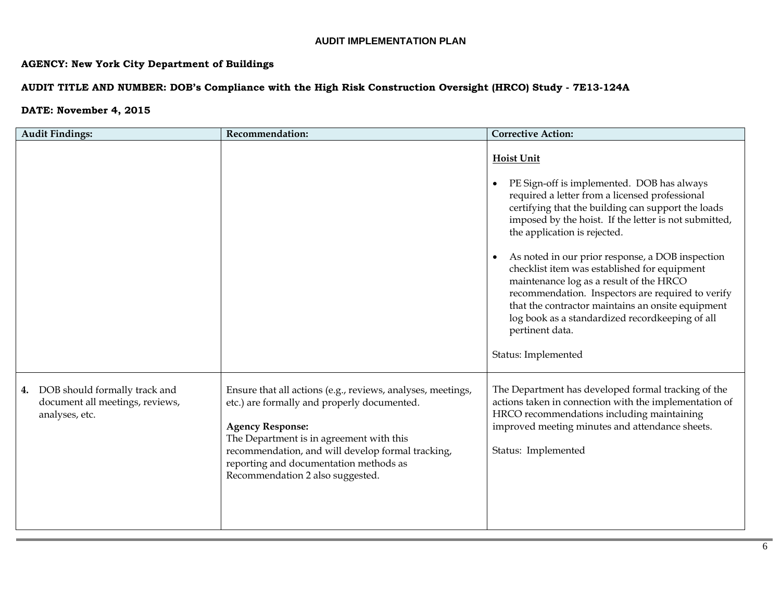## **AGENCY: New York City Department of Buildings**

## **AUDIT TITLE AND NUMBER: DOB's Compliance with the High Risk Construction Oversight (HRCO) Study - 7E13-124A**

| <b>Audit Findings:</b>                                                                   | Recommendation:                                                                                                                                                                                                                                                                                                      | <b>Corrective Action:</b>                                                                                                                                                                                                                                                                                                                                                                                                                                                                                                                                                                                                           |
|------------------------------------------------------------------------------------------|----------------------------------------------------------------------------------------------------------------------------------------------------------------------------------------------------------------------------------------------------------------------------------------------------------------------|-------------------------------------------------------------------------------------------------------------------------------------------------------------------------------------------------------------------------------------------------------------------------------------------------------------------------------------------------------------------------------------------------------------------------------------------------------------------------------------------------------------------------------------------------------------------------------------------------------------------------------------|
|                                                                                          |                                                                                                                                                                                                                                                                                                                      | <b>Hoist Unit</b><br>PE Sign-off is implemented. DOB has always<br>required a letter from a licensed professional<br>certifying that the building can support the loads<br>imposed by the hoist. If the letter is not submitted,<br>the application is rejected.<br>As noted in our prior response, a DOB inspection<br>$\bullet$<br>checklist item was established for equipment<br>maintenance log as a result of the HRCO<br>recommendation. Inspectors are required to verify<br>that the contractor maintains an onsite equipment<br>log book as a standardized recordkeeping of all<br>pertinent data.<br>Status: Implemented |
| DOB should formally track and<br>4.<br>document all meetings, reviews,<br>analyses, etc. | Ensure that all actions (e.g., reviews, analyses, meetings,<br>etc.) are formally and properly documented.<br><b>Agency Response:</b><br>The Department is in agreement with this<br>recommendation, and will develop formal tracking,<br>reporting and documentation methods as<br>Recommendation 2 also suggested. | The Department has developed formal tracking of the<br>actions taken in connection with the implementation of<br>HRCO recommendations including maintaining<br>improved meeting minutes and attendance sheets.<br>Status: Implemented                                                                                                                                                                                                                                                                                                                                                                                               |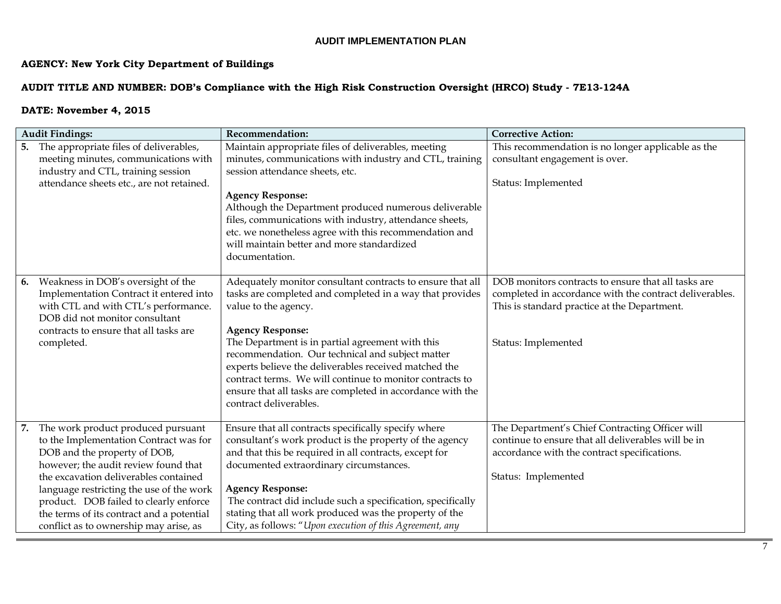# **AGENCY: New York City Department of Buildings**

## **AUDIT TITLE AND NUMBER: DOB's Compliance with the High Risk Construction Oversight (HRCO) Study - 7E13-124A**

|    | <b>Audit Findings:</b>                                                                                                                                                                                                                                                                                                                                                     | Recommendation:                                                                                                                                                                                                                                                                                                                                                                                                                                                                                | <b>Corrective Action:</b>                                                                                                                                                             |
|----|----------------------------------------------------------------------------------------------------------------------------------------------------------------------------------------------------------------------------------------------------------------------------------------------------------------------------------------------------------------------------|------------------------------------------------------------------------------------------------------------------------------------------------------------------------------------------------------------------------------------------------------------------------------------------------------------------------------------------------------------------------------------------------------------------------------------------------------------------------------------------------|---------------------------------------------------------------------------------------------------------------------------------------------------------------------------------------|
|    | 5. The appropriate files of deliverables,<br>meeting minutes, communications with<br>industry and CTL, training session<br>attendance sheets etc., are not retained.                                                                                                                                                                                                       | Maintain appropriate files of deliverables, meeting<br>minutes, communications with industry and CTL, training<br>session attendance sheets, etc.<br><b>Agency Response:</b><br>Although the Department produced numerous deliverable                                                                                                                                                                                                                                                          | This recommendation is no longer applicable as the<br>consultant engagement is over.<br>Status: Implemented                                                                           |
|    |                                                                                                                                                                                                                                                                                                                                                                            | files, communications with industry, attendance sheets,<br>etc. we nonetheless agree with this recommendation and<br>will maintain better and more standardized<br>documentation.                                                                                                                                                                                                                                                                                                              |                                                                                                                                                                                       |
| 6. | Weakness in DOB's oversight of the<br>Implementation Contract it entered into<br>with CTL and with CTL's performance.<br>DOB did not monitor consultant<br>contracts to ensure that all tasks are<br>completed.                                                                                                                                                            | Adequately monitor consultant contracts to ensure that all<br>tasks are completed and completed in a way that provides<br>value to the agency.<br><b>Agency Response:</b><br>The Department is in partial agreement with this<br>recommendation. Our technical and subject matter<br>experts believe the deliverables received matched the<br>contract terms. We will continue to monitor contracts to<br>ensure that all tasks are completed in accordance with the<br>contract deliverables. | DOB monitors contracts to ensure that all tasks are<br>completed in accordance with the contract deliverables.<br>This is standard practice at the Department.<br>Status: Implemented |
| 7. | The work product produced pursuant<br>to the Implementation Contract was for<br>DOB and the property of DOB,<br>however; the audit review found that<br>the excavation deliverables contained<br>language restricting the use of the work<br>product. DOB failed to clearly enforce<br>the terms of its contract and a potential<br>conflict as to ownership may arise, as | Ensure that all contracts specifically specify where<br>consultant's work product is the property of the agency<br>and that this be required in all contracts, except for<br>documented extraordinary circumstances.<br><b>Agency Response:</b><br>The contract did include such a specification, specifically<br>stating that all work produced was the property of the<br>City, as follows: "Upon execution of this Agreement, any                                                           | The Department's Chief Contracting Officer will<br>continue to ensure that all deliverables will be in<br>accordance with the contract specifications.<br>Status: Implemented         |